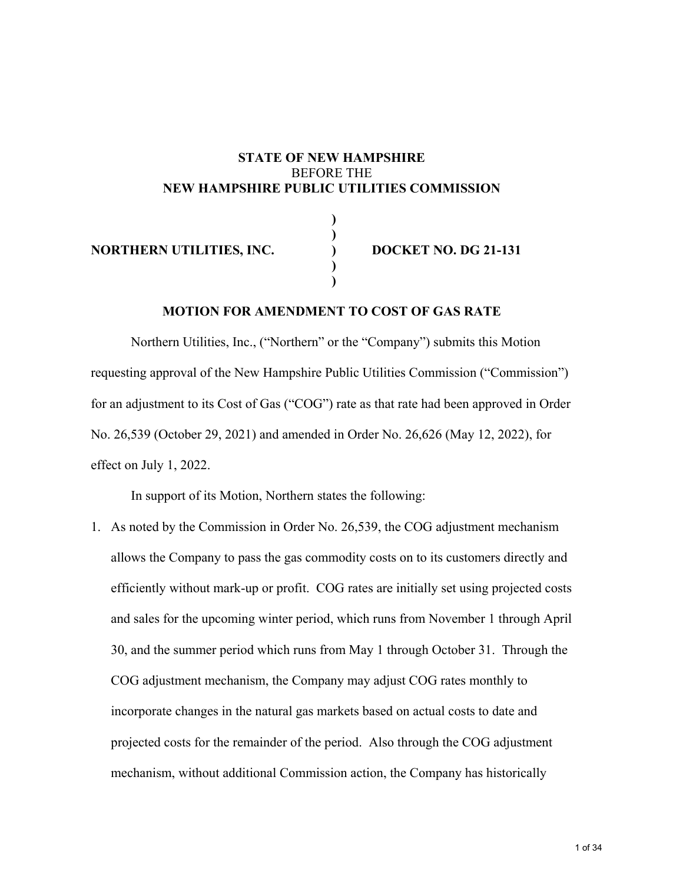## **STATE OF NEW HAMPSHIRE**  BEFORE THE **NEW HAMPSHIRE PUBLIC UTILITIES COMMISSION**

**) )** 

> **) )**

**NORTHERN UTILITIES, INC.** (a) **DOCKET NO. DG 21-131** 

## **MOTION FOR AMENDMENT TO COST OF GAS RATE**

Northern Utilities, Inc., ("Northern" or the "Company") submits this Motion requesting approval of the New Hampshire Public Utilities Commission ("Commission") for an adjustment to its Cost of Gas ("COG") rate as that rate had been approved in Order No. 26,539 (October 29, 2021) and amended in Order No. 26,626 (May 12, 2022), for effect on July 1, 2022.

In support of its Motion, Northern states the following:

1. As noted by the Commission in Order No. 26,539, the COG adjustment mechanism allows the Company to pass the gas commodity costs on to its customers directly and efficiently without mark-up or profit. COG rates are initially set using projected costs and sales for the upcoming winter period, which runs from November 1 through April 30, and the summer period which runs from May 1 through October 31. Through the COG adjustment mechanism, the Company may adjust COG rates monthly to incorporate changes in the natural gas markets based on actual costs to date and projected costs for the remainder of the period. Also through the COG adjustment mechanism, without additional Commission action, the Company has historically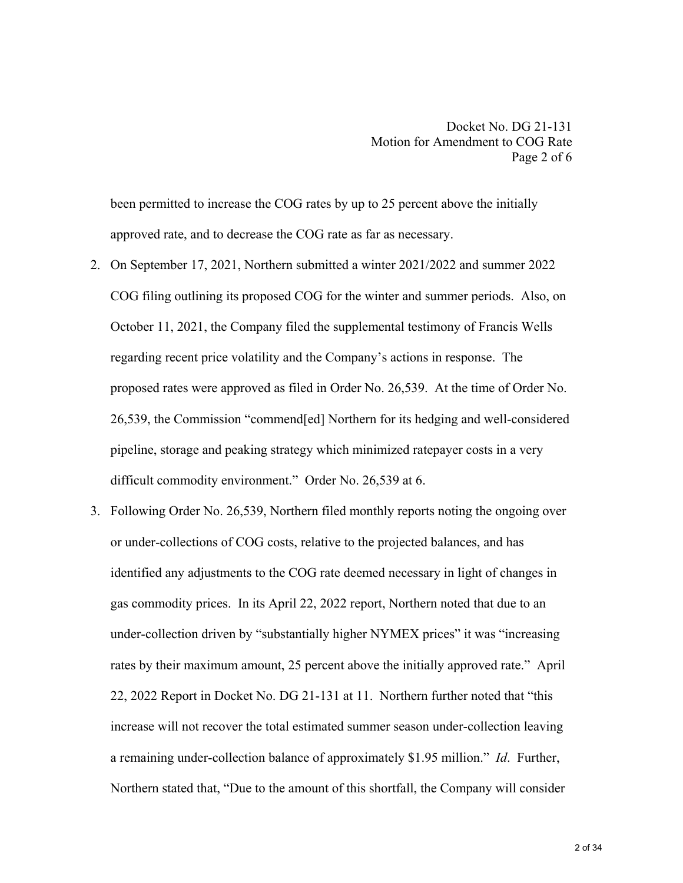been permitted to increase the COG rates by up to 25 percent above the initially approved rate, and to decrease the COG rate as far as necessary.

- 2. On September 17, 2021, Northern submitted a winter 2021/2022 and summer 2022 COG filing outlining its proposed COG for the winter and summer periods. Also, on October 11, 2021, the Company filed the supplemental testimony of Francis Wells regarding recent price volatility and the Company's actions in response. The proposed rates were approved as filed in Order No. 26,539. At the time of Order No. 26,539, the Commission "commend[ed] Northern for its hedging and well-considered pipeline, storage and peaking strategy which minimized ratepayer costs in a very difficult commodity environment." Order No. 26,539 at 6.
- 3. Following Order No. 26,539, Northern filed monthly reports noting the ongoing over or under-collections of COG costs, relative to the projected balances, and has identified any adjustments to the COG rate deemed necessary in light of changes in gas commodity prices. In its April 22, 2022 report, Northern noted that due to an under-collection driven by "substantially higher NYMEX prices" it was "increasing rates by their maximum amount, 25 percent above the initially approved rate." April 22, 2022 Report in Docket No. DG 21-131 at 11. Northern further noted that "this increase will not recover the total estimated summer season under‐collection leaving a remaining under‐collection balance of approximately \$1.95 million." *Id*. Further, Northern stated that, "Due to the amount of this shortfall, the Company will consider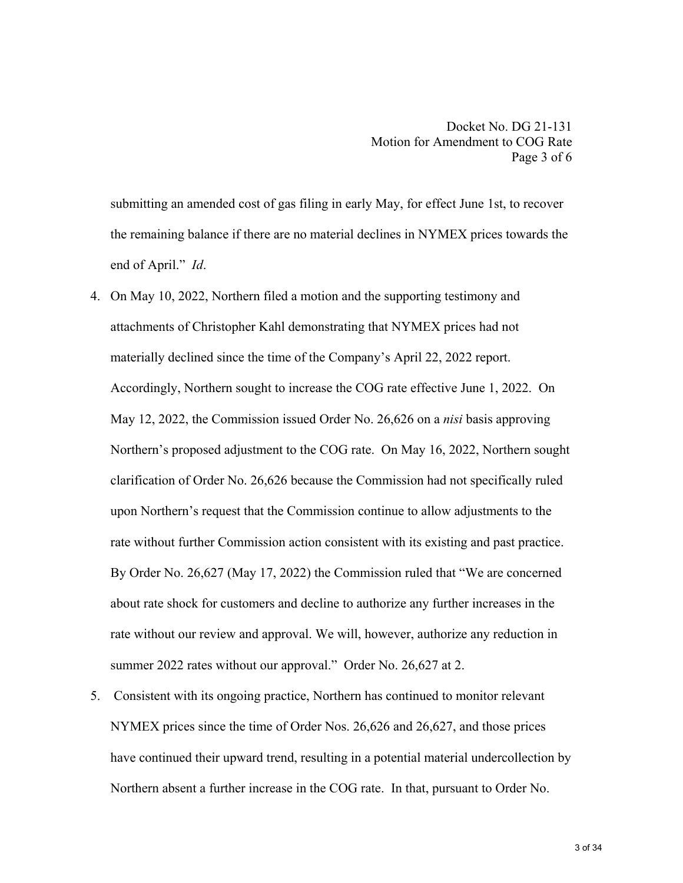submitting an amended cost of gas filing in early May, for effect June 1st, to recover the remaining balance if there are no material declines in NYMEX prices towards the end of April." *Id*.

- 4. On May 10, 2022, Northern filed a motion and the supporting testimony and attachments of Christopher Kahl demonstrating that NYMEX prices had not materially declined since the time of the Company's April 22, 2022 report. Accordingly, Northern sought to increase the COG rate effective June 1, 2022. On May 12, 2022, the Commission issued Order No. 26,626 on a *nisi* basis approving Northern's proposed adjustment to the COG rate. On May 16, 2022, Northern sought clarification of Order No. 26,626 because the Commission had not specifically ruled upon Northern's request that the Commission continue to allow adjustments to the rate without further Commission action consistent with its existing and past practice. By Order No. 26,627 (May 17, 2022) the Commission ruled that "We are concerned about rate shock for customers and decline to authorize any further increases in the rate without our review and approval. We will, however, authorize any reduction in summer 2022 rates without our approval." Order No. 26,627 at 2.
- 5. Consistent with its ongoing practice, Northern has continued to monitor relevant NYMEX prices since the time of Order Nos. 26,626 and 26,627, and those prices have continued their upward trend, resulting in a potential material undercollection by Northern absent a further increase in the COG rate. In that, pursuant to Order No.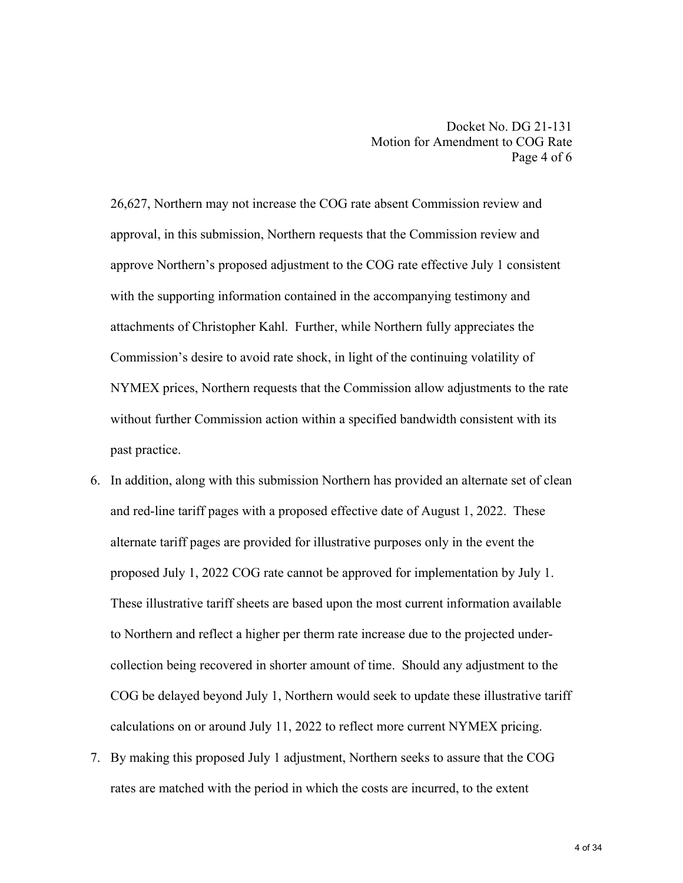26,627, Northern may not increase the COG rate absent Commission review and approval, in this submission, Northern requests that the Commission review and approve Northern's proposed adjustment to the COG rate effective July 1 consistent with the supporting information contained in the accompanying testimony and attachments of Christopher Kahl. Further, while Northern fully appreciates the Commission's desire to avoid rate shock, in light of the continuing volatility of NYMEX prices, Northern requests that the Commission allow adjustments to the rate without further Commission action within a specified bandwidth consistent with its past practice.

- 6. In addition, along with this submission Northern has provided an alternate set of clean and red-line tariff pages with a proposed effective date of August 1, 2022. These alternate tariff pages are provided for illustrative purposes only in the event the proposed July 1, 2022 COG rate cannot be approved for implementation by July 1. These illustrative tariff sheets are based upon the most current information available to Northern and reflect a higher per therm rate increase due to the projected undercollection being recovered in shorter amount of time. Should any adjustment to the COG be delayed beyond July 1, Northern would seek to update these illustrative tariff calculations on or around July 11, 2022 to reflect more current NYMEX pricing.
- 7. By making this proposed July 1 adjustment, Northern seeks to assure that the COG rates are matched with the period in which the costs are incurred, to the extent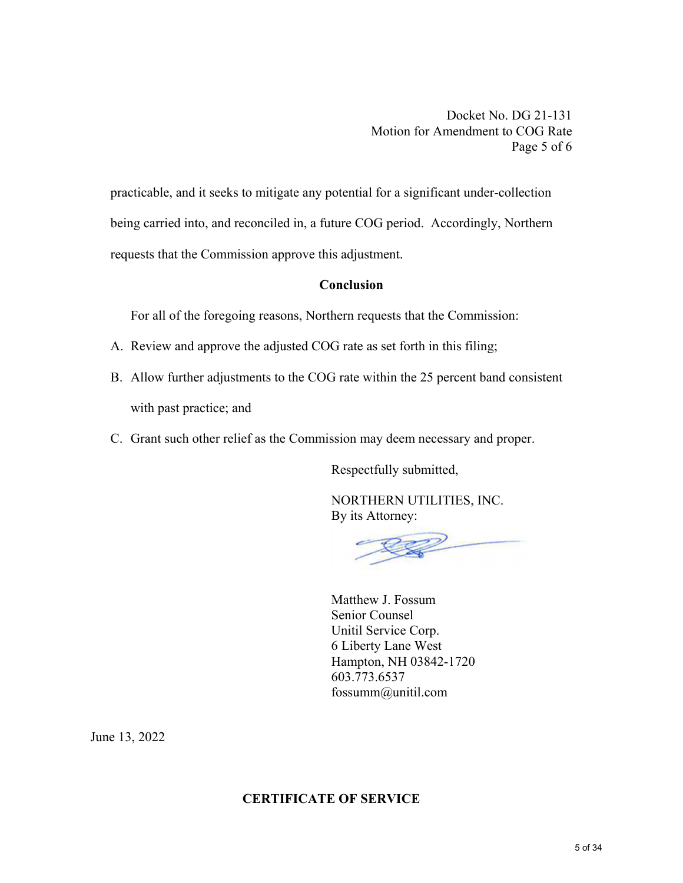Docket No. DG 21-131 Motion for Amendment to COG Rate Page 5 of 6

practicable, and it seeks to mitigate any potential for a significant under-collection being carried into, and reconciled in, a future COG period. Accordingly, Northern requests that the Commission approve this adjustment.

## **Conclusion**

For all of the foregoing reasons, Northern requests that the Commission:

- A. Review and approve the adjusted COG rate as set forth in this filing;
- B. Allow further adjustments to the COG rate within the 25 percent band consistent with past practice; and
- C. Grant such other relief as the Commission may deem necessary and proper.

Respectfully submitted,

 NORTHERN UTILITIES, INC. By its Attorney:

 Matthew J. Fossum Senior Counsel Unitil Service Corp. 6 Liberty Lane West Hampton, NH 03842-1720 603.773.6537 fossumm@unitil.com

June 13, 2022

## **CERTIFICATE OF SERVICE**